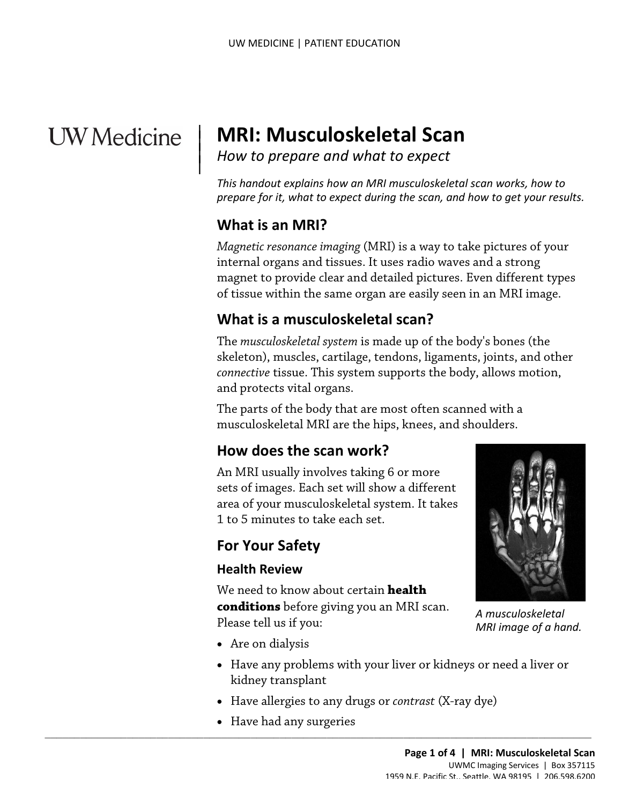# **UW** Medicine

 $\overline{\phantom{a}}$ 

 $\parallel$ 

# **MRI: Musculoskeletal Scan**

*How to prepare and what to expect* 

 *This handout explains how an MRI musculoskeletal scan works, how to prepare for it, what to expect during the scan, and how to get your results.* 

#### **What is an MRI?**

 magnet to provide clear and detailed pictures. Even different types *Magnetic resonance imaging* (MRI) is a way to take pictures of your internal organs and tissues. It uses radio waves and a strong of tissue within the same organ are easily seen in an MRI image.

# **What is a musculoskeletal scan?**

 The *[musculoskeletal s](javascript:glossAry()ystem* is made up of the body's bones (the *connective* tissue. This system supports the body, allows motion, and protects vital organs. skeleton), muscles, cartilage, tendons, ligaments, joints, and other

The parts of the body that are most often scanned with a musculoskeletal MRI are the hips, knees, and shoulders.

# **How does the scan work?**

An MRI usually involves taking 6 or more sets of images. Each set will show a different area of your musculoskeletal system. It takes 1 to 5 minutes to take each set.

#### **For Your Safety**

#### **Health Review**

 Please tell us if you: We need to know about certain **health conditions** before giving you an MRI scan.



*A musculoskeletal MRI image of a hand.* 

- Are on dialysis
- • Have any problems with your liver or kidneys or need a liver or kidney transplant
- Have allergies to any drugs or *contrast* (X-ray dye)
- Have had any surgeries

 $\_$  , and the set of the set of the set of the set of the set of the set of the set of the set of the set of the set of the set of the set of the set of the set of the set of the set of the set of the set of the set of th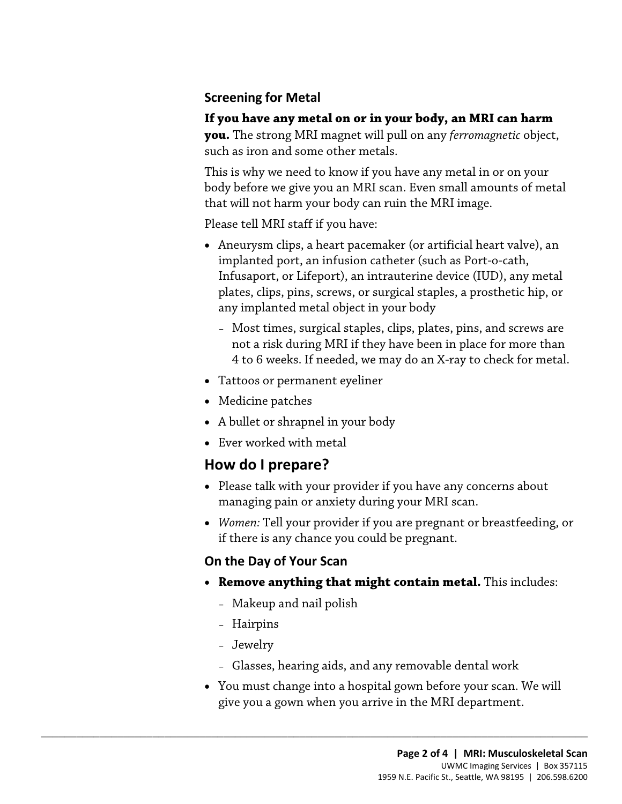#### **Screening for Metal**

#### **If you have any metal on or in your body, an MRI can harm**

 **you.** The strong MRI magnet will pull on any *ferromagnetic* object, such as iron and some other metals.

This is why we need to know if you have any metal in or on your body before we give you an MRI scan. Even small amounts of metal that will not harm your body can ruin the MRI image.

Please tell MRI staff if you have:

- Aneurysm clips, a heart pacemaker (or artificial heart valve), an implanted port, an infusion catheter (such as Port-o-cath, Infusaport, or Lifeport), an intrauterine device (IUD), any metal plates, clips, pins, screws, or surgical staples, a prosthetic hip, or any implanted metal object in your body
	- Most times, surgical staples, clips, plates, pins, and screws are not a risk during MRI if they have been in place for more than 4 to 6 weeks. If needed, we may do an X-ray to check for metal.
- Tattoos or permanent eyeliner
- Medicine patches
- A bullet or shrapnel in your body
- Ever worked with metal

# **How do I prepare?**

- Please talk with your provider if you have any concerns about managing pain or anxiety during your MRI scan.
- *Women:* Tell your provider if you are pregnant or breastfeeding, or if there is any chance you could be pregnant.

#### **On the Day of Your Scan**

- • **Remove anything that might contain metal.** This includes:
	- Makeup and nail polish

 $\_$  ,  $\_$  ,  $\_$  ,  $\_$  ,  $\_$  ,  $\_$  ,  $\_$  ,  $\_$  ,  $\_$  ,  $\_$  ,  $\_$  ,  $\_$  ,  $\_$  ,  $\_$  ,  $\_$  ,  $\_$  ,  $\_$  ,  $\_$  ,  $\_$  ,  $\_$  ,  $\_$  ,  $\_$  ,  $\_$  ,  $\_$  ,  $\_$  ,  $\_$  ,  $\_$  ,  $\_$  ,  $\_$  ,  $\_$  ,  $\_$  ,  $\_$  ,  $\_$  ,  $\_$  ,  $\_$  ,  $\_$  ,  $\_$  ,

- Hairpins
- Jewelry
- Glasses, hearing aids, and any removable dental work
- You must change into a hospital gown before your scan. We will give you a gown when you arrive in the MRI department.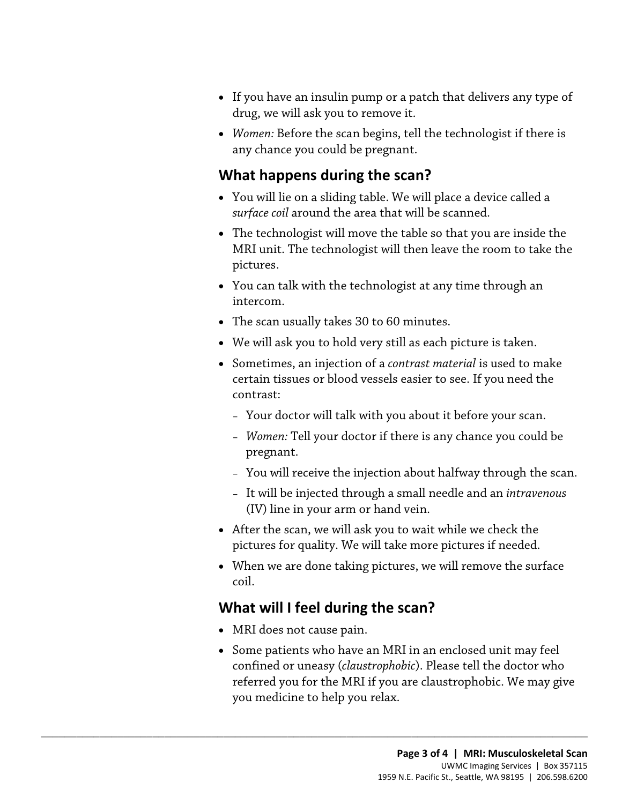- drug, we will ask you to remove it. • If you have an insulin pump or a patch that delivers any type of
- *Women:* Before the scan begins, tell the technologist if there is any chance you could be pregnant.

#### **What happens during the scan?**

- You will lie on a sliding table. We will place a device called a *surface coil* around the area that will be scanned.
- MRI unit. The technologist will then leave the room to take the • The technologist will move the table so that you are inside the pictures.
- • You can talk with the [technologist](javascript:glossAry() at any time through an intercom.
- The scan usually takes 30 to 60 minutes.
- We will ask you to hold very still as each picture is taken.
- Sometimes, an injection of a *[contrast material](javascript:glossAry()* is used to make certain tissues or blood vessels easier to see. If you need the contrast:
	- Your doctor will talk with you about it before your scan.
	- *Women:* Tell your doctor if there is any chance you could be pregnant.
	- You will receive the injection about halfway through the scan.
	- It will be injected through a small needle and an *intravenous*  (IV) line in your arm or hand vein.
- After the scan, we will ask you to wait while we check the pictures for quality. We will take more pictures if needed.
- • When we are done taking pictures, we will remove the surface coil.

# **What will I feel during the scan?**

 $\_$  ,  $\_$  ,  $\_$  ,  $\_$  ,  $\_$  ,  $\_$  ,  $\_$  ,  $\_$  ,  $\_$  ,  $\_$  ,  $\_$  ,  $\_$  ,  $\_$  ,  $\_$  ,  $\_$  ,  $\_$  ,  $\_$  ,  $\_$  ,  $\_$  ,  $\_$  ,  $\_$  ,  $\_$  ,  $\_$  ,  $\_$  ,  $\_$  ,  $\_$  ,  $\_$  ,  $\_$  ,  $\_$  ,  $\_$  ,  $\_$  ,  $\_$  ,  $\_$  ,  $\_$  ,  $\_$  ,  $\_$  ,  $\_$  ,

- MRI does not cause pain.
- referred you for the MRI if you are claustrophobic. We may give • Some patients who have an MRI in an enclosed unit may feel confined or uneasy (*claustrophobic*). Please tell the doctor who you medicine to help you relax.